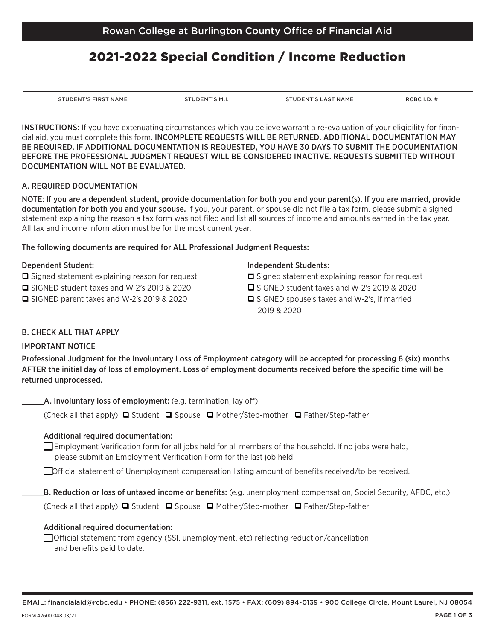# 2021-2022 Special Condition / Income Reduction

EMAIL: financialaid@rcbc.edu • PHONE: (856) 222-9311, ext. 1575 • FAX: (609) 894-0139 • 900 College Circle, Mount Laurel, NJ 08054

STUDENT'S FIRST NAME STUDENT'S M.I. STUDENT'S LAST NAME RCBC I.D. #

INSTRUCTIONS: If you have extenuating circumstances which you believe warrant a re-evaluation of your eligibility for financial aid, you must complete this form. INCOMPLETE REQUESTS WILL BE RETURNED. ADDITIONAL DOCUMENTATION MAY BE REQUIRED. IF ADDITIONAL DOCUMENTATION IS REQUESTED, YOU HAVE 30 DAYS TO SUBMIT THE DOCUMENTATION BEFORE THE PROFESSIONAL JUDGMENT REQUEST WILL BE CONSIDERED INACTIVE. REQUESTS SUBMITTED WITHOUT DOCUMENTATION WILL NOT BE EVALUATED.

#### A. REQUIRED DOCUMENTATION

NOTE: If you are a dependent student, provide documentation for both you and your parent(s). If you are married, provide documentation for both you and your spouse. If you, your parent, or spouse did not file a tax form, please submit a signed statement explaining the reason a tax form was not filed and list all sources of income and amounts earned in the tax year. All tax and income information must be for the most current year.

#### The following documents are required for ALL Professional Judgment Requests:

#### Dependent Student:

- $\Box$  Signed statement explaining reason for request
- q SIGNED student taxes and W-2's 2019 & 2020
- $\Box$  SIGNED parent taxes and W-2's 2019 & 2020

### Independent Students:

- $\Box$  Signed statement explaining reason for request
- $\Box$  SIGNED student taxes and W-2's 2019 & 2020
- $\Box$  SIGNED spouse's taxes and W-2's, if married 2019 & 2020

### B. CHECK ALL THAT APPLY

### IMPORTANT NOTICE

Professional Judgment for the Involuntary Loss of Employment category will be accepted for processing 6 (six) months AFTER the initial day of loss of employment. Loss of employment documents received before the specific time will be returned unprocessed.

A. Involuntary loss of employment: (e.g. termination, lay off)

(Check all that apply)  $\Box$  Student  $\Box$  Spouse  $\Box$  Mother/Step-mother  $\Box$  Father/Step-father

### Additional required documentation:

 $\Box$  Employment Verification form for all jobs held for all members of the household. If no jobs were held, please submit an Employment Verification Form for the last job held.

\_\_Official statement of Unemployment compensation listing amount of benefits received/to be received.

B. Reduction or loss of untaxed income or benefits: (e.g. unemployment compensation, Social Security, AFDC, etc.)

(Check all that apply)  $\Box$  Student  $\Box$  Spouse  $\Box$  Mother/Step-mother  $\Box$  Father/Step-father

#### Additional required documentation:

\_\_ Official statement from agency (SSI, unemployment, etc) reflecting reduction/cancellation and benefits paid to date.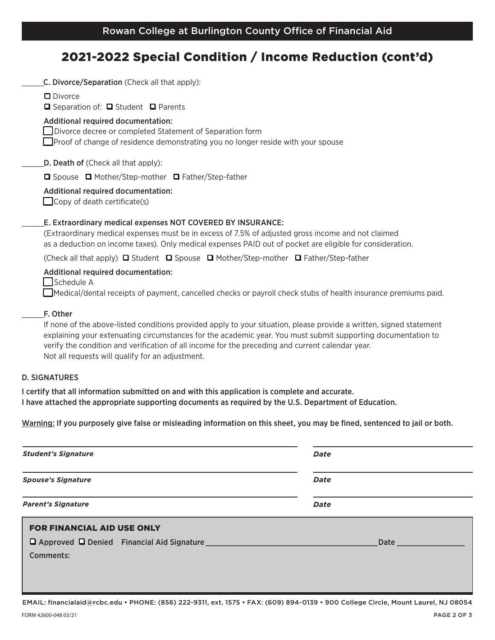# 2021-2022 Special Condition / Income Reduction (cont'd)

| C. Divorce/Separation (Check all that apply):                                                                                                                                                                                                                                                                                                                                               |
|---------------------------------------------------------------------------------------------------------------------------------------------------------------------------------------------------------------------------------------------------------------------------------------------------------------------------------------------------------------------------------------------|
| $\Box$ Divorce<br>□ Separation of: □ Student □ Parents                                                                                                                                                                                                                                                                                                                                      |
| Additional required documentation:<br>Divorce decree or completed Statement of Separation form<br>$\Box$ Proof of change of residence demonstrating you no longer reside with your spouse                                                                                                                                                                                                   |
| D. Death of (Check all that apply):                                                                                                                                                                                                                                                                                                                                                         |
| □ Spouse □ Mother/Step-mother □ Father/Step-father                                                                                                                                                                                                                                                                                                                                          |
| Additional required documentation:<br>$\Box$ Copy of death certificate(s)                                                                                                                                                                                                                                                                                                                   |
| E. Extraordinary medical expenses NOT COVERED BY INSURANCE:<br>(Extraordinary medical expenses must be in excess of 7.5% of adjusted gross income and not claimed<br>as a deduction on income taxes). Only medical expenses PAID out of pocket are eligible for consideration.                                                                                                              |
| (Check all that apply) $\Box$ Student $\Box$ Spouse $\Box$ Mother/Step-mother $\Box$ Father/Step-father                                                                                                                                                                                                                                                                                     |
| Additional required documentation:<br>Schedule A<br>Medical/dental receipts of payment, cancelled checks or payroll check stubs of health insurance premiums paid.                                                                                                                                                                                                                          |
| F. Other                                                                                                                                                                                                                                                                                                                                                                                    |
| If none of the above-listed conditions provided apply to your situation, please provide a written, signed statement<br>explaining your extenuating circumstances for the academic year. You must submit supporting documentation to<br>verify the condition and verification of all income for the preceding and current calendar year.<br>Not all requests will qualify for an adjustment. |
| <b>D. SIGNATURES</b>                                                                                                                                                                                                                                                                                                                                                                        |

I certify that all information submitted on and with this application is complete and accurate. I have attached the appropriate supporting documents as required by the U.S. Department of Education.

Warning: If you purposely give false or misleading information on this sheet, you may be fined, sentenced to jail or both.

| <b>Student's Signature</b>        | Date                                                                                                                                                                                                                           |
|-----------------------------------|--------------------------------------------------------------------------------------------------------------------------------------------------------------------------------------------------------------------------------|
| <b>Spouse's Signature</b>         | Date                                                                                                                                                                                                                           |
| <b>Parent's Signature</b>         | Date                                                                                                                                                                                                                           |
| <b>FOR FINANCIAL AID USE ONLY</b> |                                                                                                                                                                                                                                |
|                                   | Date the contract of the contract of the contract of the contract of the contract of the contract of the contract of the contract of the contract of the contract of the contract of the contract of the contract of the contr |
| Comments:                         |                                                                                                                                                                                                                                |
|                                   |                                                                                                                                                                                                                                |

EMAIL: financialaid@rcbc.edu • PHONE: (856) 222-9311, ext. 1575 • FAX: (609) 894-0139 • 900 College Circle, Mount Laurel, NJ 08054